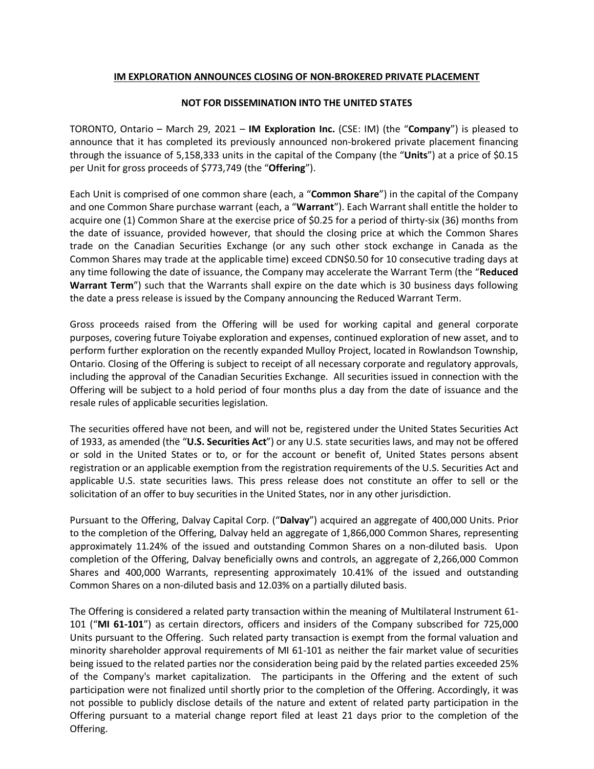## **IM EXPLORATION ANNOUNCES CLOSING OF NON-BROKERED PRIVATE PLACEMENT**

## **NOT FOR DISSEMINATION INTO THE UNITED STATES**

TORONTO, Ontario – March 29, 2021 – **IM Exploration Inc.** (CSE: IM) (the "**Company**") is pleased to announce that it has completed its previously announced non-brokered private placement financing through the issuance of 5,158,333 units in the capital of the Company (the "**Units**") at a price of \$0.15 per Unit for gross proceeds of \$773,749 (the "**Offering**").

Each Unit is comprised of one common share (each, a "**Common Share**") in the capital of the Company and one Common Share purchase warrant (each, a "**Warrant**"). Each Warrant shall entitle the holder to acquire one (1) Common Share at the exercise price of \$0.25 for a period of thirty-six (36) months from the date of issuance, provided however, that should the closing price at which the Common Shares trade on the Canadian Securities Exchange (or any such other stock exchange in Canada as the Common Shares may trade at the applicable time) exceed CDN\$0.50 for 10 consecutive trading days at any time following the date of issuance, the Company may accelerate the Warrant Term (the "**Reduced Warrant Term**") such that the Warrants shall expire on the date which is 30 business days following the date a press release is issued by the Company announcing the Reduced Warrant Term.

Gross proceeds raised from the Offering will be used for working capital and general corporate purposes, covering future Toiyabe exploration and expenses, continued exploration of new asset, and to perform further exploration on the recently expanded Mulloy Project, located in Rowlandson Township, Ontario. Closing of the Offering is subject to receipt of all necessary corporate and regulatory approvals, including the approval of the Canadian Securities Exchange. All securities issued in connection with the Offering will be subject to a hold period of four months plus a day from the date of issuance and the resale rules of applicable securities legislation.

The securities offered have not been, and will not be, registered under the United States Securities Act of 1933, as amended (the "**U.S. Securities Act**") or any U.S. state securities laws, and may not be offered or sold in the United States or to, or for the account or benefit of, United States persons absent registration or an applicable exemption from the registration requirements of the U.S. Securities Act and applicable U.S. state securities laws. This press release does not constitute an offer to sell or the solicitation of an offer to buy securities in the United States, nor in any other jurisdiction.

Pursuant to the Offering, Dalvay Capital Corp. ("**Dalvay**") acquired an aggregate of 400,000 Units. Prior to the completion of the Offering, Dalvay held an aggregate of 1,866,000 Common Shares, representing approximately 11.24% of the issued and outstanding Common Shares on a non-diluted basis. Upon completion of the Offering, Dalvay beneficially owns and controls, an aggregate of 2,266,000 Common Shares and 400,000 Warrants, representing approximately 10.41% of the issued and outstanding Common Shares on a non-diluted basis and 12.03% on a partially diluted basis.

The Offering is considered a related party transaction within the meaning of Multilateral Instrument 61- 101 ("**MI 61-101**") as certain directors, officers and insiders of the Company subscribed for 725,000 Units pursuant to the Offering. Such related party transaction is exempt from the formal valuation and minority shareholder approval requirements of MI 61-101 as neither the fair market value of securities being issued to the related parties nor the consideration being paid by the related parties exceeded 25% of the Company's market capitalization. The participants in the Offering and the extent of such participation were not finalized until shortly prior to the completion of the Offering. Accordingly, it was not possible to publicly disclose details of the nature and extent of related party participation in the Offering pursuant to a material change report filed at least 21 days prior to the completion of the Offering.